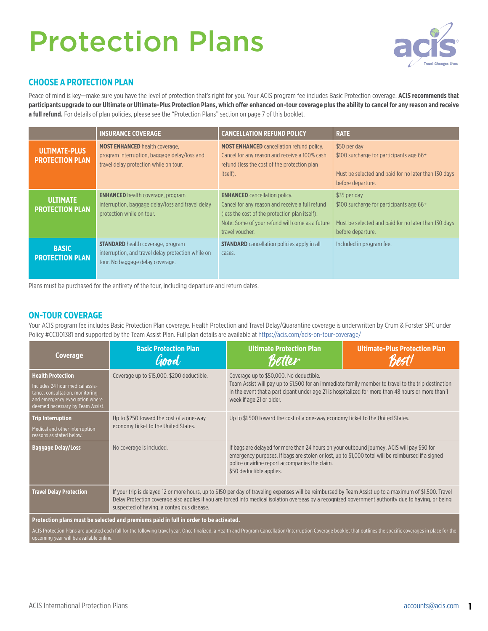# Protection Plans



## **CHOOSE A PROTECTION PLAN**

Peace of mind is key—make sure you have the level of protection that's right for you. Your ACIS program fee includes Basic Protection coverage. **ACIS recommends that participants upgrade to our Ultimate or Ultimate-Plus Protection Plans, which offer enhanced on-tour coverage plus the ability to cancel for any reason and receive**  a full refund. For details of plan policies, please see the "Protection Plans" section on page 7 of this booklet.

|                                                | <b>INSURANCE COVERAGE</b>                                                                                                          | <b>CANCELLATION REFUND POLICY</b>                                                                                                                                                                               | <b>RATE</b>                                                                                                                                       |
|------------------------------------------------|------------------------------------------------------------------------------------------------------------------------------------|-----------------------------------------------------------------------------------------------------------------------------------------------------------------------------------------------------------------|---------------------------------------------------------------------------------------------------------------------------------------------------|
| <b>ULTIMATE-PLUS</b><br><b>PROTECTION PLAN</b> | <b>MOST ENHANCED</b> health coverage,<br>program interruption, baggage delay/loss and<br>travel delay protection while on tour.    | <b>MOST ENHANCED</b> cancellation refund policy.<br>Cancel for any reason and receive a 100% cash<br>refund (less the cost of the protection plan<br>itself).                                                   | \$50 per day<br>\$100 surcharge for participants age 66 <sup>+</sup><br>Must be selected and paid for no later than 130 days<br>before departure. |
| <b>ULTIMATE</b><br><b>PROTECTION PLAN</b>      | <b>ENHANCED</b> health coverage, program<br>interruption, baggage delay/loss and travel delay<br>protection while on tour.         | <b>ENHANCED</b> cancellation policy.<br>Cancel for any reason and receive a full refund<br>(less the cost of the protection plan itself).<br>Note: Some of your refund will come as a future<br>travel voucher. | \$35 per day<br>\$100 surcharge for participants age 66+<br>Must be selected and paid for no later than 130 days<br>before departure.             |
| <b>BASIC</b><br><b>PROTECTION PLAN</b>         | <b>STANDARD</b> health coverage, program<br>interruption, and travel delay protection while on<br>tour. No baggage delay coverage. | <b>STANDARD</b> cancellation policies apply in all<br>cases.                                                                                                                                                    | Included in program fee.                                                                                                                          |

Plans must be purchased for the entirety of the tour, including departure and return dates.

## **ON-TOUR COVERAGE**

Your ACIS program fee includes Basic Protection Plan coverage. Health Protection and Travel Delay/Quarantine coverage is underwritten by Crum & Forster SPC under Policy #CC001381 and supported by the Team Assist Plan. Full plan details are available at<https://acis.com/acis-on-tour-coverage/>

| Coverage                                                                                                                                                                                                                                                                                                                                             | <b>Basic Protection Plan</b><br>Good                                                                                                                                                                                                                                                                                                                            | <b>Ultimate Protection Plan</b><br>Better                                                                                                                                                                                                                                        | <b>Ultimate-Plus Protection Plan</b> |  |
|------------------------------------------------------------------------------------------------------------------------------------------------------------------------------------------------------------------------------------------------------------------------------------------------------------------------------------------------------|-----------------------------------------------------------------------------------------------------------------------------------------------------------------------------------------------------------------------------------------------------------------------------------------------------------------------------------------------------------------|----------------------------------------------------------------------------------------------------------------------------------------------------------------------------------------------------------------------------------------------------------------------------------|--------------------------------------|--|
| <b>Health Protection</b><br>Includes 24 hour medical assis-<br>tance, consultation, monitoring<br>and emergency evacuation where<br>deemed necessary by Team Assist.                                                                                                                                                                                 | Coverage up to \$15,000. \$200 deductible.                                                                                                                                                                                                                                                                                                                      | Coverage up to \$50,000. No deductible.<br>Team Assist will pay up to \$1,500 for an immediate family member to travel to the trip destination<br>in the event that a participant under age 21 is hospitalized for more than 48 hours or more than 1<br>week if age 21 or older. |                                      |  |
| <b>Trip Interruption</b><br>Medical and other interruption<br>reasons as stated below.                                                                                                                                                                                                                                                               | Up to \$250 toward the cost of a one-way<br>economy ticket to the United States.                                                                                                                                                                                                                                                                                | Up to \$1,500 toward the cost of a one-way economy ticket to the United States.                                                                                                                                                                                                  |                                      |  |
| <b>Baggage Delay/Loss</b>                                                                                                                                                                                                                                                                                                                            | No coverage is included.                                                                                                                                                                                                                                                                                                                                        | If bags are delayed for more than 24 hours on your outbound journey, ACIS will pay \$50 for<br>emergency purposes. If bags are stolen or lost, up to \$1,000 total will be reimbursed if a signed<br>police or airline report accompanies the claim.<br>\$50 deductible applies. |                                      |  |
| <b>Travel Delay Protection</b>                                                                                                                                                                                                                                                                                                                       | If your trip is delayed 12 or more hours, up to \$150 per day of traveling expenses will be reimbursed by Team Assist up to a maximum of \$1,500. Travel<br>Delay Protection coverage also applies if you are forced into medical isolation overseas by a recognized government authority due to having, or being<br>suspected of having, a contagious disease. |                                                                                                                                                                                                                                                                                  |                                      |  |
| Protection plans must be selected and premiums paid in full in order to be activated.<br>ACIS Protection Plans are updated each fall for the following travel year. Once finalized, a Health and Program Cancellation/Interruption Coverage booklet that outlines the specific coverages in place for the<br>upcoming year will be available online. |                                                                                                                                                                                                                                                                                                                                                                 |                                                                                                                                                                                                                                                                                  |                                      |  |